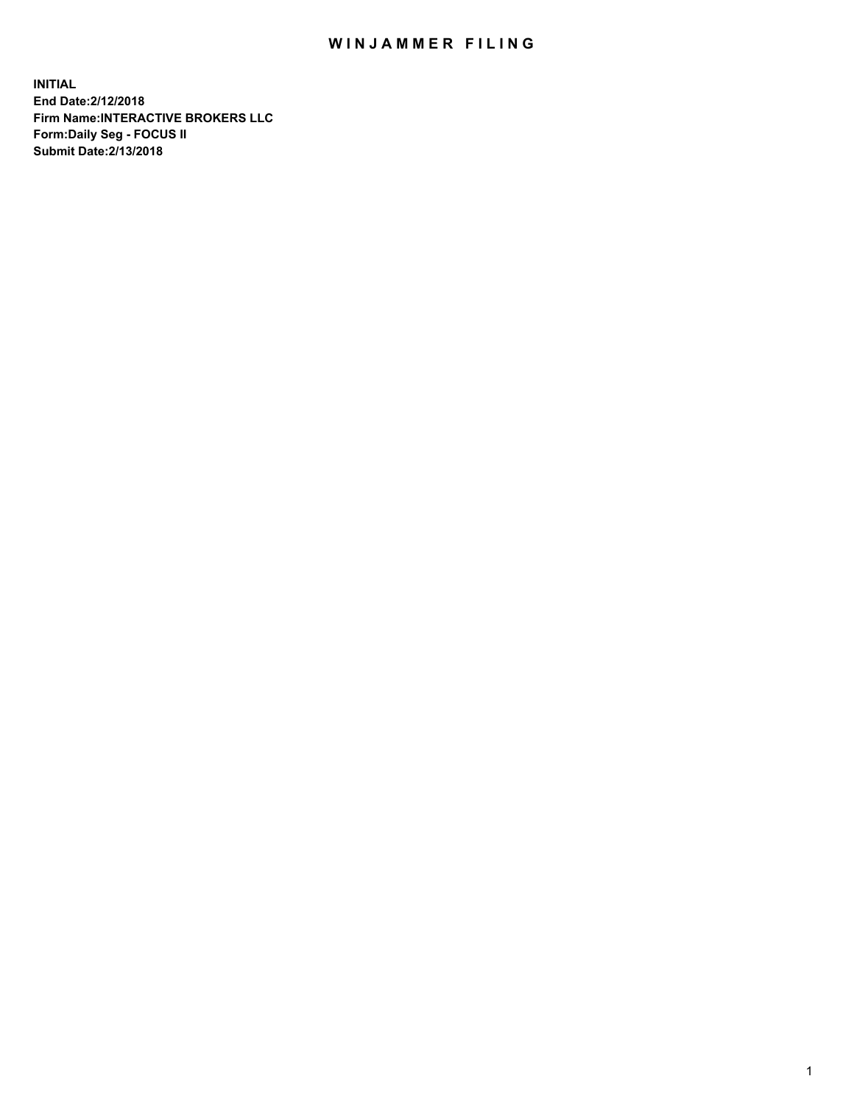## WIN JAMMER FILING

**INITIAL End Date:2/12/2018 Firm Name:INTERACTIVE BROKERS LLC Form:Daily Seg - FOCUS II Submit Date:2/13/2018**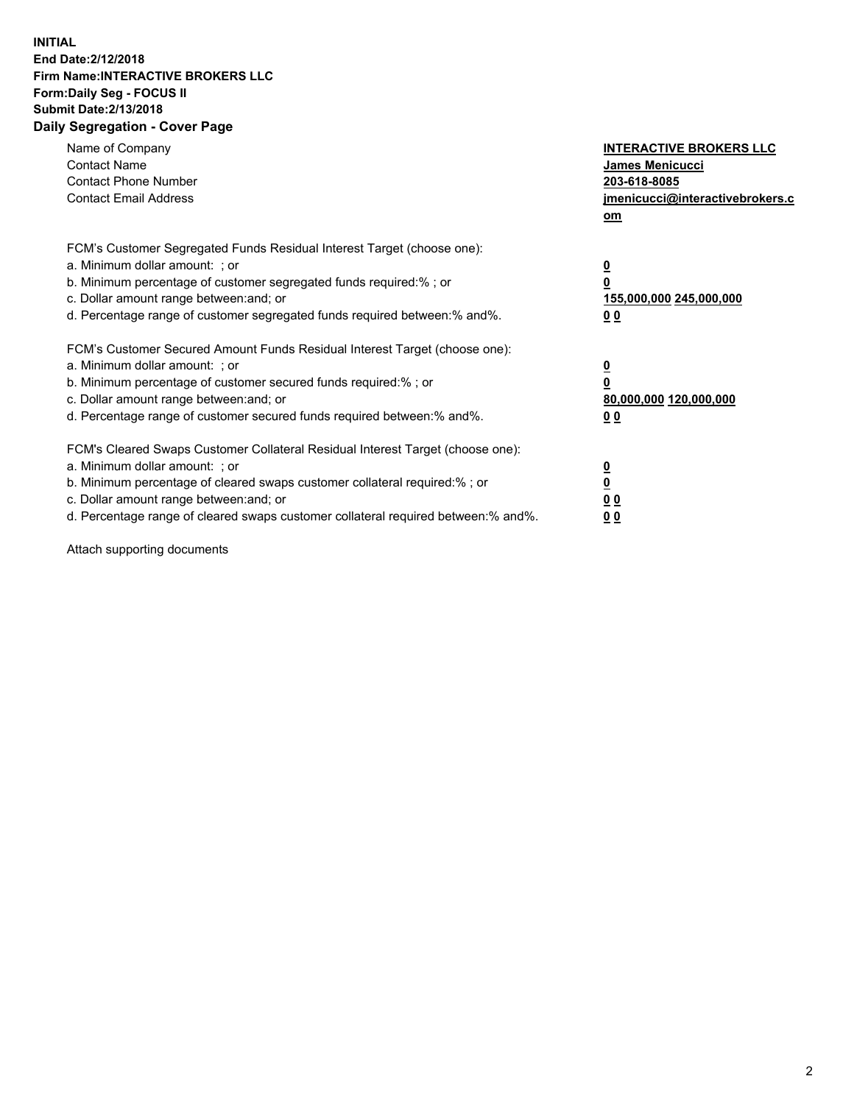## **INITIAL End Date:2/12/2018 Firm Name:INTERACTIVE BROKERS LLC Form:Daily Seg - FOCUS II Submit Date:2/13/2018 Daily Segregation - Cover Page**

| Name of Company<br><b>Contact Name</b><br><b>Contact Phone Number</b><br><b>Contact Email Address</b>                                                                                                                                                                                                                          | <b>INTERACTIVE BROKERS LLC</b><br><b>James Menicucci</b><br>203-618-8085<br>jmenicucci@interactivebrokers.c<br>om |
|--------------------------------------------------------------------------------------------------------------------------------------------------------------------------------------------------------------------------------------------------------------------------------------------------------------------------------|-------------------------------------------------------------------------------------------------------------------|
| FCM's Customer Segregated Funds Residual Interest Target (choose one):<br>a. Minimum dollar amount: ; or<br>b. Minimum percentage of customer segregated funds required:% ; or<br>c. Dollar amount range between: and; or<br>d. Percentage range of customer segregated funds required between: % and %.                       | $\overline{\mathbf{0}}$<br>0<br>155,000,000 245,000,000<br>00                                                     |
| FCM's Customer Secured Amount Funds Residual Interest Target (choose one):<br>a. Minimum dollar amount: ; or<br>b. Minimum percentage of customer secured funds required:%; or<br>c. Dollar amount range between: and; or<br>d. Percentage range of customer secured funds required between: % and %.                          | $\overline{\mathbf{0}}$<br>0<br>80,000,000 120,000,000<br>00                                                      |
| FCM's Cleared Swaps Customer Collateral Residual Interest Target (choose one):<br>a. Minimum dollar amount: ; or<br>b. Minimum percentage of cleared swaps customer collateral required:% ; or<br>c. Dollar amount range between: and; or<br>d. Percentage range of cleared swaps customer collateral required between:% and%. | $\overline{\mathbf{0}}$<br>$\overline{\mathbf{0}}$<br>00<br>0 <sub>0</sub>                                        |

Attach supporting documents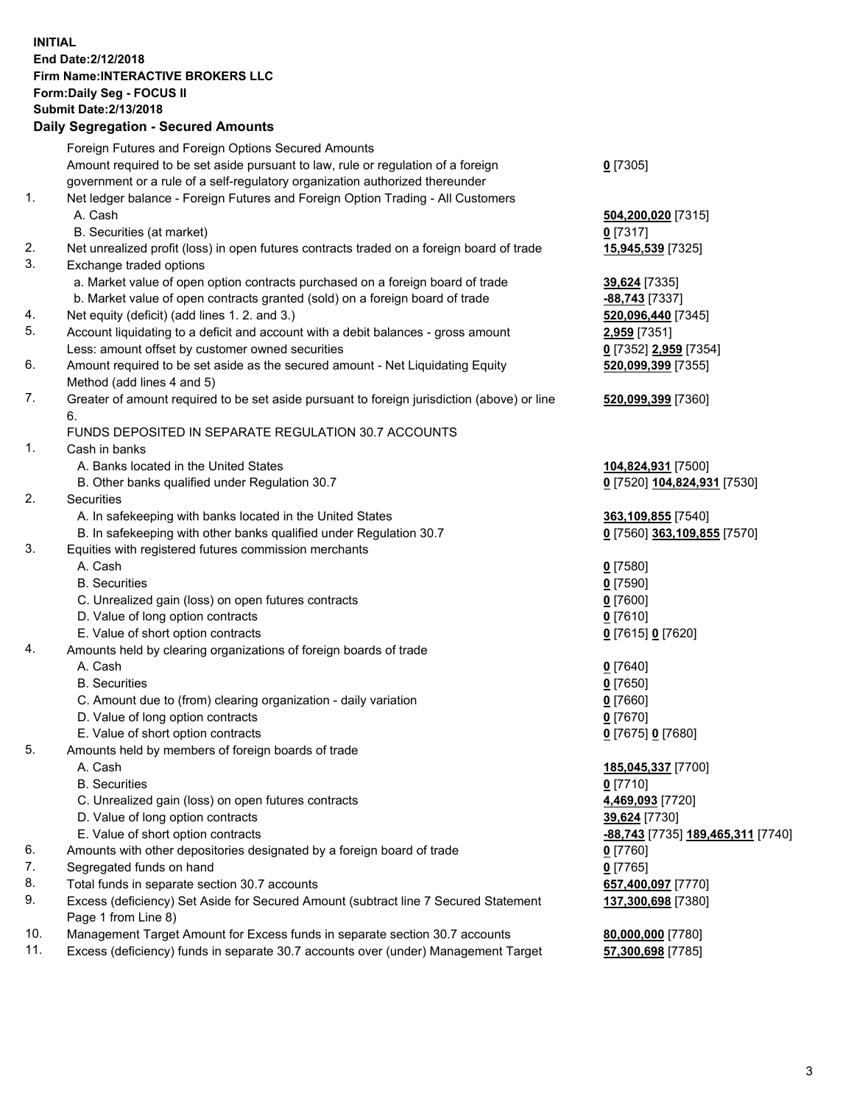## **INITIAL End Date:2/12/2018 Firm Name:INTERACTIVE BROKERS LLC Form:Daily Seg - FOCUS II Submit Date:2/13/2018 Daily Segregation - Secured Amounts**

|                | Daily Jegregation - Jeculed Aniounts                                                                       |                                   |
|----------------|------------------------------------------------------------------------------------------------------------|-----------------------------------|
|                | Foreign Futures and Foreign Options Secured Amounts                                                        |                                   |
|                | Amount required to be set aside pursuant to law, rule or regulation of a foreign                           | $0$ [7305]                        |
|                | government or a rule of a self-regulatory organization authorized thereunder                               |                                   |
| 1.             | Net ledger balance - Foreign Futures and Foreign Option Trading - All Customers                            |                                   |
|                | A. Cash                                                                                                    | 504,200,020 [7315]                |
|                | B. Securities (at market)                                                                                  | 0 [7317]                          |
| 2.             | Net unrealized profit (loss) in open futures contracts traded on a foreign board of trade                  | 15,945,539 [7325]                 |
| 3.             | Exchange traded options                                                                                    |                                   |
|                | a. Market value of open option contracts purchased on a foreign board of trade                             | 39,624 [7335]                     |
|                | b. Market value of open contracts granted (sold) on a foreign board of trade                               | -88,743 <sup>[7337]</sup>         |
| 4.             | Net equity (deficit) (add lines 1.2. and 3.)                                                               | 520,096,440 [7345]                |
| 5.             | Account liquidating to a deficit and account with a debit balances - gross amount                          | 2,959 [7351]                      |
|                | Less: amount offset by customer owned securities                                                           | 0 [7352] 2,959 [7354]             |
| 6.             | Amount required to be set aside as the secured amount - Net Liquidating Equity                             | 520,099,399 [7355]                |
|                | Method (add lines 4 and 5)                                                                                 |                                   |
| 7.             | Greater of amount required to be set aside pursuant to foreign jurisdiction (above) or line                | 520,099,399 [7360]                |
|                | 6.                                                                                                         |                                   |
|                | FUNDS DEPOSITED IN SEPARATE REGULATION 30.7 ACCOUNTS                                                       |                                   |
| 1 <sub>1</sub> | Cash in banks                                                                                              |                                   |
|                | A. Banks located in the United States                                                                      | 104,824,931 [7500]                |
|                | B. Other banks qualified under Regulation 30.7                                                             | 0 [7520] 104,824,931 [7530]       |
| 2.             | Securities                                                                                                 |                                   |
|                | A. In safekeeping with banks located in the United States                                                  | 363,109,855 [7540]                |
|                | B. In safekeeping with other banks qualified under Regulation 30.7                                         | 0 [7560] 363,109,855 [7570]       |
| 3.             | Equities with registered futures commission merchants                                                      |                                   |
|                | A. Cash                                                                                                    | $0$ [7580]                        |
|                | <b>B.</b> Securities                                                                                       | $0$ [7590]                        |
|                | C. Unrealized gain (loss) on open futures contracts                                                        | $0$ [7600]                        |
|                | D. Value of long option contracts                                                                          | $0$ [7610]                        |
|                | E. Value of short option contracts                                                                         | 0 [7615] 0 [7620]                 |
| 4.             | Amounts held by clearing organizations of foreign boards of trade                                          |                                   |
|                | A. Cash                                                                                                    | $0$ [7640]                        |
|                | <b>B.</b> Securities                                                                                       | $0$ [7650]                        |
|                | C. Amount due to (from) clearing organization - daily variation                                            | $0$ [7660]                        |
|                | D. Value of long option contracts                                                                          | $0$ [7670]                        |
|                | E. Value of short option contracts                                                                         | 0 [7675] 0 [7680]                 |
| 5.             | Amounts held by members of foreign boards of trade                                                         |                                   |
|                | A. Cash                                                                                                    | 185,045,337 [7700]                |
|                | <b>B.</b> Securities                                                                                       | $0$ [7710]                        |
|                | C. Unrealized gain (loss) on open futures contracts                                                        | 4,469,093 [7720]                  |
|                | D. Value of long option contracts                                                                          | 39,624 [7730]                     |
|                | E. Value of short option contracts                                                                         | -88,743 [7735] 189,465,311 [7740] |
| 6.             | Amounts with other depositories designated by a foreign board of trade                                     | $0$ [7760]                        |
| 7.             | Segregated funds on hand                                                                                   | $0$ [7765]                        |
| 8.             | Total funds in separate section 30.7 accounts                                                              | 657,400,097 [7770]                |
| 9.             | Excess (deficiency) Set Aside for Secured Amount (subtract line 7 Secured Statement<br>Page 1 from Line 8) | 137,300,698 [7380]                |
| 10.            | Management Target Amount for Excess funds in separate section 30.7 accounts                                | 80,000,000 [7780]                 |
| 11.            | Excess (deficiency) funds in separate 30.7 accounts over (under) Management Target                         | 57,300,698 [7785]                 |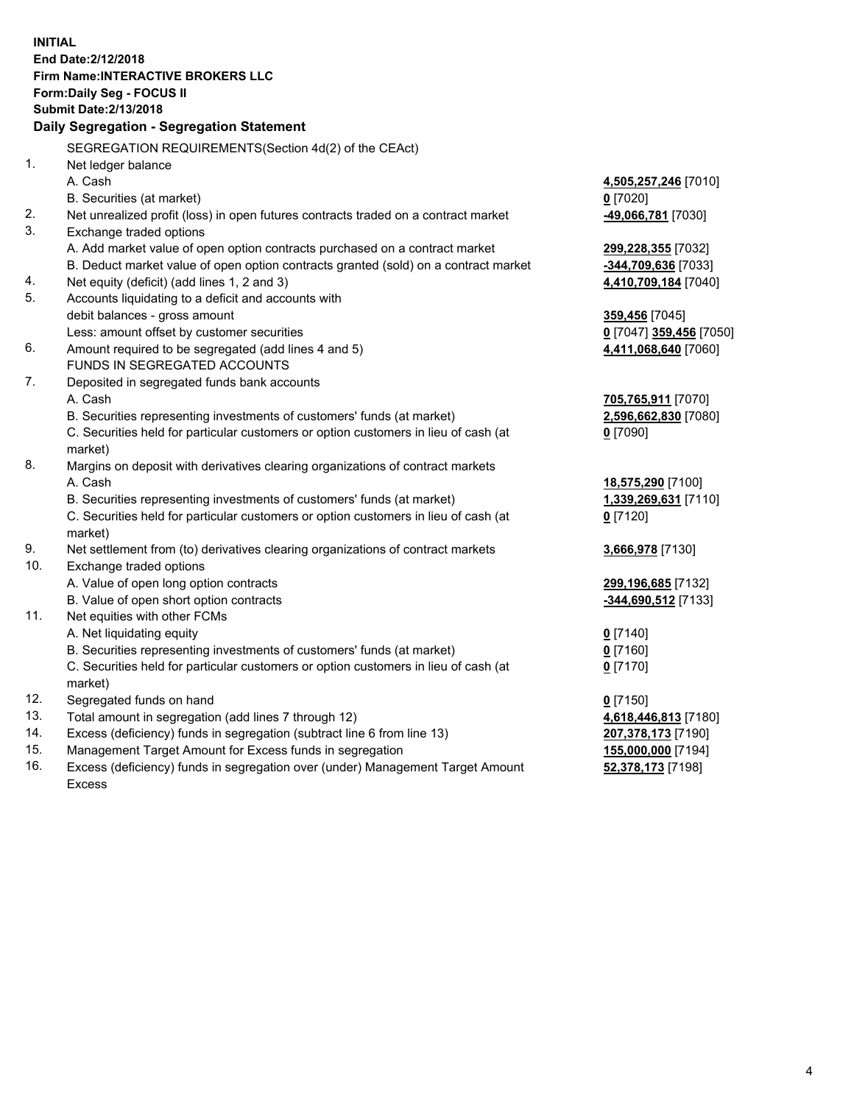**INITIAL End Date:2/12/2018 Firm Name:INTERACTIVE BROKERS LLC Form:Daily Seg - FOCUS II Submit Date:2/13/2018 Daily Segregation - Segregation Statement** SEGREGATION REQUIREMENTS(Section 4d(2) of the CEAct) 1. Net ledger balance A. Cash **4,505,257,246** [7010] B. Securities (at market) **0** [7020] 2. Net unrealized profit (loss) in open futures contracts traded on a contract market **-49,066,781** [7030] 3. Exchange traded options A. Add market value of open option contracts purchased on a contract market **299,228,355** [7032] B. Deduct market value of open option contracts granted (sold) on a contract market **-344,709,636** [7033] 4. Net equity (deficit) (add lines 1, 2 and 3) **4,410,709,184** [7040] 5. Accounts liquidating to a deficit and accounts with debit balances - gross amount **359,456** [7045] Less: amount offset by customer securities **0** [7047] **359,456** [7050] 6. Amount required to be segregated (add lines 4 and 5) **4,411,068,640** [7060] FUNDS IN SEGREGATED ACCOUNTS 7. Deposited in segregated funds bank accounts A. Cash **705,765,911** [7070] B. Securities representing investments of customers' funds (at market) **2,596,662,830** [7080] C. Securities held for particular customers or option customers in lieu of cash (at market) **0** [7090] 8. Margins on deposit with derivatives clearing organizations of contract markets A. Cash **18,575,290** [7100] B. Securities representing investments of customers' funds (at market) **1,339,269,631** [7110] C. Securities held for particular customers or option customers in lieu of cash (at market) **0** [7120] 9. Net settlement from (to) derivatives clearing organizations of contract markets **3,666,978** [7130] 10. Exchange traded options A. Value of open long option contracts **299,196,685** [7132] B. Value of open short option contracts **-344,690,512** [7133] 11. Net equities with other FCMs A. Net liquidating equity **0** [7140] B. Securities representing investments of customers' funds (at market) **0** [7160] C. Securities held for particular customers or option customers in lieu of cash (at market) **0** [7170] 12. Segregated funds on hand **0** [7150] 13. Total amount in segregation (add lines 7 through 12) **4,618,446,813** [7180] 14. Excess (deficiency) funds in segregation (subtract line 6 from line 13) **207,378,173** [7190] 15. Management Target Amount for Excess funds in segregation **155,000,000** [7194]

16. Excess (deficiency) funds in segregation over (under) Management Target Amount Excess

**52,378,173** [7198]